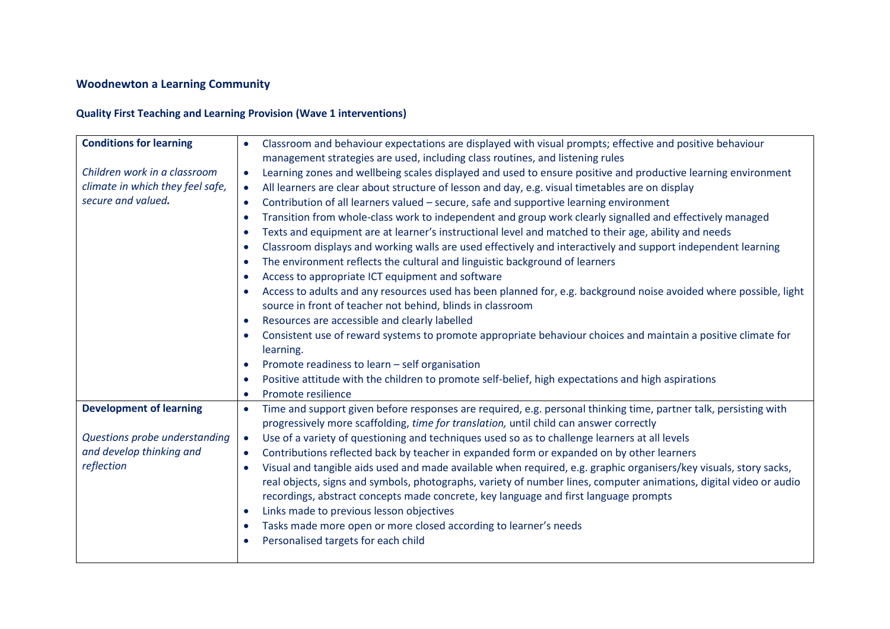# **Woodnewton a Learning Community**

# **Quality First Teaching and Learning Provision (Wave 1 interventions)**

| <b>Conditions for learning</b><br>Children work in a classroom | Classroom and behaviour expectations are displayed with visual prompts; effective and positive behaviour<br>$\bullet$<br>management strategies are used, including class routines, and listening rules<br>Learning zones and wellbeing scales displayed and used to ensure positive and productive learning environment<br>$\bullet$ |  |  |
|----------------------------------------------------------------|--------------------------------------------------------------------------------------------------------------------------------------------------------------------------------------------------------------------------------------------------------------------------------------------------------------------------------------|--|--|
| climate in which they feel safe,                               | All learners are clear about structure of lesson and day, e.g. visual timetables are on display<br>$\bullet$                                                                                                                                                                                                                         |  |  |
| secure and valued.                                             | Contribution of all learners valued - secure, safe and supportive learning environment                                                                                                                                                                                                                                               |  |  |
|                                                                | $\bullet$                                                                                                                                                                                                                                                                                                                            |  |  |
|                                                                | Transition from whole-class work to independent and group work clearly signalled and effectively managed<br>$\bullet$                                                                                                                                                                                                                |  |  |
|                                                                | Texts and equipment are at learner's instructional level and matched to their age, ability and needs<br>$\bullet$                                                                                                                                                                                                                    |  |  |
|                                                                | Classroom displays and working walls are used effectively and interactively and support independent learning<br>$\bullet$                                                                                                                                                                                                            |  |  |
|                                                                | The environment reflects the cultural and linguistic background of learners<br>$\bullet$                                                                                                                                                                                                                                             |  |  |
|                                                                | Access to appropriate ICT equipment and software<br>$\bullet$                                                                                                                                                                                                                                                                        |  |  |
|                                                                | Access to adults and any resources used has been planned for, e.g. background noise avoided where possible, light<br>$\bullet$                                                                                                                                                                                                       |  |  |
|                                                                | source in front of teacher not behind, blinds in classroom                                                                                                                                                                                                                                                                           |  |  |
|                                                                | Resources are accessible and clearly labelled<br>$\bullet$                                                                                                                                                                                                                                                                           |  |  |
|                                                                | Consistent use of reward systems to promote appropriate behaviour choices and maintain a positive climate for<br>$\bullet$                                                                                                                                                                                                           |  |  |
|                                                                | learning.                                                                                                                                                                                                                                                                                                                            |  |  |
|                                                                | Promote readiness to learn - self organisation<br>$\bullet$                                                                                                                                                                                                                                                                          |  |  |
|                                                                | Positive attitude with the children to promote self-belief, high expectations and high aspirations<br>$\bullet$                                                                                                                                                                                                                      |  |  |
|                                                                | Promote resilience<br>$\bullet$                                                                                                                                                                                                                                                                                                      |  |  |
| <b>Development of learning</b>                                 | Time and support given before responses are required, e.g. personal thinking time, partner talk, persisting with<br>$\bullet$<br>progressively more scaffolding, time for translation, until child can answer correctly                                                                                                              |  |  |
| Questions probe understanding                                  | Use of a variety of questioning and techniques used so as to challenge learners at all levels<br>$\bullet$                                                                                                                                                                                                                           |  |  |
| and develop thinking and                                       | Contributions reflected back by teacher in expanded form or expanded on by other learners<br>$\bullet$                                                                                                                                                                                                                               |  |  |
| reflection                                                     | Visual and tangible aids used and made available when required, e.g. graphic organisers/key visuals, story sacks,<br>$\bullet$                                                                                                                                                                                                       |  |  |
|                                                                | real objects, signs and symbols, photographs, variety of number lines, computer animations, digital video or audio                                                                                                                                                                                                                   |  |  |
|                                                                | recordings, abstract concepts made concrete, key language and first language prompts                                                                                                                                                                                                                                                 |  |  |
|                                                                | Links made to previous lesson objectives<br>$\bullet$                                                                                                                                                                                                                                                                                |  |  |
|                                                                | Tasks made more open or more closed according to learner's needs<br>$\bullet$                                                                                                                                                                                                                                                        |  |  |
|                                                                | Personalised targets for each child<br>$\bullet$                                                                                                                                                                                                                                                                                     |  |  |
|                                                                |                                                                                                                                                                                                                                                                                                                                      |  |  |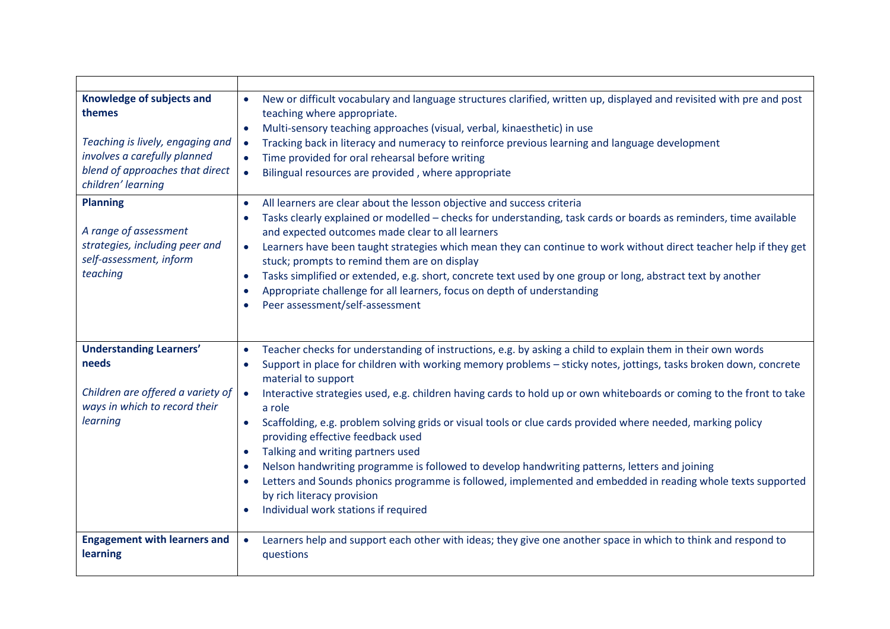| Knowledge of subjects and<br>themes<br>Teaching is lively, engaging and<br>involves a carefully planned<br>blend of approaches that direct<br>children' learning | New or difficult vocabulary and language structures clarified, written up, displayed and revisited with pre and post<br>$\bullet$<br>teaching where appropriate.<br>Multi-sensory teaching approaches (visual, verbal, kinaesthetic) in use<br>$\bullet$<br>Tracking back in literacy and numeracy to reinforce previous learning and language development<br>$\bullet$<br>Time provided for oral rehearsal before writing<br>$\bullet$<br>Bilingual resources are provided, where appropriate<br>$\bullet$                                                                                                                                                                                                                                                      |
|------------------------------------------------------------------------------------------------------------------------------------------------------------------|------------------------------------------------------------------------------------------------------------------------------------------------------------------------------------------------------------------------------------------------------------------------------------------------------------------------------------------------------------------------------------------------------------------------------------------------------------------------------------------------------------------------------------------------------------------------------------------------------------------------------------------------------------------------------------------------------------------------------------------------------------------|
| <b>Planning</b><br>A range of assessment<br>strategies, including peer and<br>self-assessment, inform<br>teaching                                                | All learners are clear about the lesson objective and success criteria<br>$\bullet$<br>Tasks clearly explained or modelled - checks for understanding, task cards or boards as reminders, time available<br>and expected outcomes made clear to all learners<br>Learners have been taught strategies which mean they can continue to work without direct teacher help if they get<br>$\bullet$<br>stuck; prompts to remind them are on display<br>Tasks simplified or extended, e.g. short, concrete text used by one group or long, abstract text by another<br>$\bullet$<br>Appropriate challenge for all learners, focus on depth of understanding<br>$\bullet$<br>Peer assessment/self-assessment                                                            |
| <b>Understanding Learners'</b><br>needs<br>Children are offered a variety of<br>ways in which to record their<br>learning                                        | Teacher checks for understanding of instructions, e.g. by asking a child to explain them in their own words<br>$\bullet$<br>Support in place for children with working memory problems - sticky notes, jottings, tasks broken down, concrete<br>$\bullet$<br>material to support<br>Interactive strategies used, e.g. children having cards to hold up or own whiteboards or coming to the front to take<br>$\bullet$<br>a role<br>Scaffolding, e.g. problem solving grids or visual tools or clue cards provided where needed, marking policy<br>$\bullet$<br>providing effective feedback used<br>Talking and writing partners used<br>$\bullet$<br>Nelson handwriting programme is followed to develop handwriting patterns, letters and joining<br>$\bullet$ |
| <b>Engagement with learners and</b><br>learning                                                                                                                  | Letters and Sounds phonics programme is followed, implemented and embedded in reading whole texts supported<br>$\bullet$<br>by rich literacy provision<br>Individual work stations if required<br>$\bullet$<br>Learners help and support each other with ideas; they give one another space in which to think and respond to<br>$\bullet$<br>questions                                                                                                                                                                                                                                                                                                                                                                                                           |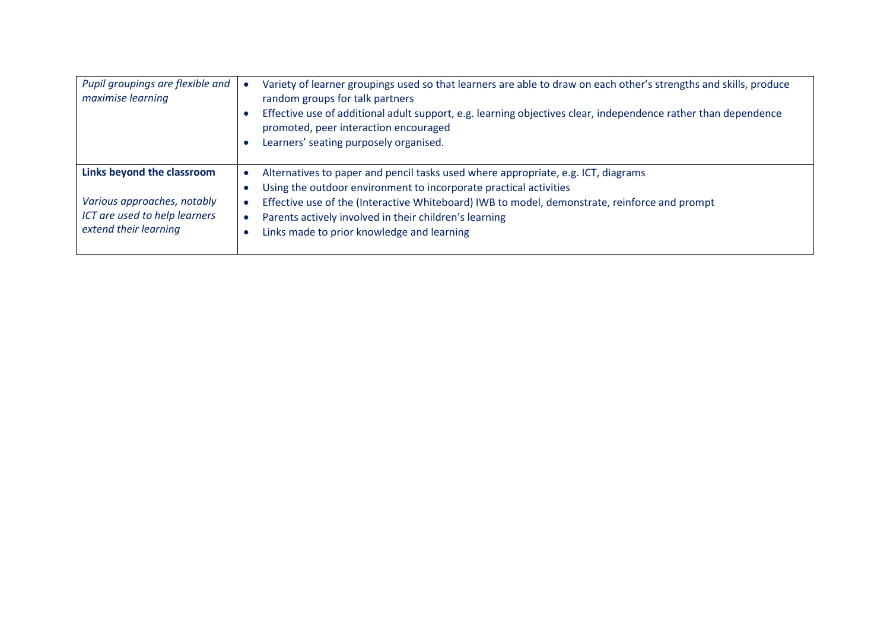| Pupil groupings are flexible and<br>maximise learning                                                               | Variety of learner groupings used so that learners are able to draw on each other's strengths and skills, produce<br>random groups for talk partners<br>Effective use of additional adult support, e.g. learning objectives clear, independence rather than dependence<br>promoted, peer interaction encouraged<br>Learners' seating purposely organised.       |
|---------------------------------------------------------------------------------------------------------------------|-----------------------------------------------------------------------------------------------------------------------------------------------------------------------------------------------------------------------------------------------------------------------------------------------------------------------------------------------------------------|
| Links beyond the classroom<br>Various approaches, notably<br>ICT are used to help learners<br>extend their learning | Alternatives to paper and pencil tasks used where appropriate, e.g. ICT, diagrams<br>Using the outdoor environment to incorporate practical activities<br>Effective use of the (Interactive Whiteboard) IWB to model, demonstrate, reinforce and prompt<br>Parents actively involved in their children's learning<br>Links made to prior knowledge and learning |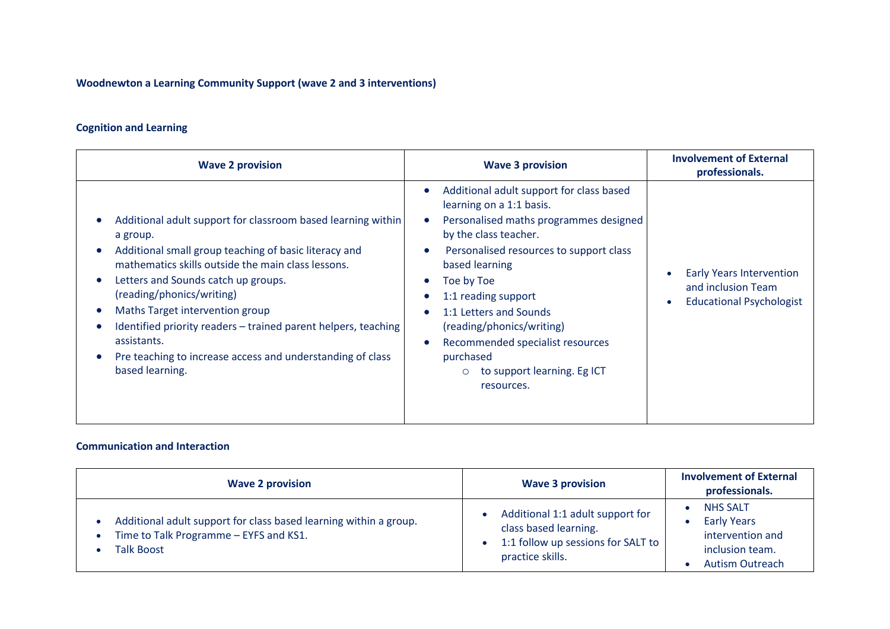**Woodnewton a Learning Community Support (wave 2 and 3 interventions)** 

## **Cognition and Learning**

| <b>Wave 2 provision</b>                                                                                                                                                                                                                                                                                                                                                                                                                                          | <b>Wave 3 provision</b>                                                                                                                                                                                                                                                                                                                                                                                                  | <b>Involvement of External</b><br>professionals.                                         |
|------------------------------------------------------------------------------------------------------------------------------------------------------------------------------------------------------------------------------------------------------------------------------------------------------------------------------------------------------------------------------------------------------------------------------------------------------------------|--------------------------------------------------------------------------------------------------------------------------------------------------------------------------------------------------------------------------------------------------------------------------------------------------------------------------------------------------------------------------------------------------------------------------|------------------------------------------------------------------------------------------|
| Additional adult support for classroom based learning within<br>a group.<br>Additional small group teaching of basic literacy and<br>mathematics skills outside the main class lessons.<br>Letters and Sounds catch up groups.<br>(reading/phonics/writing)<br>Maths Target intervention group<br>Identified priority readers – trained parent helpers, teaching<br>assistants.<br>Pre teaching to increase access and understanding of class<br>based learning. | Additional adult support for class based<br>learning on a 1:1 basis.<br>Personalised maths programmes designed<br>by the class teacher.<br>Personalised resources to support class<br>based learning<br>Toe by Toe<br>1:1 reading support<br>$\bullet$<br>1:1 Letters and Sounds<br>$\bullet$<br>(reading/phonics/writing)<br>Recommended specialist resources<br>purchased<br>to support learning. Eg ICT<br>resources. | <b>Early Years Intervention</b><br>and inclusion Team<br><b>Educational Psychologist</b> |

#### **Communication and Interaction**

| <b>Wave 2 provision</b>                                                                                                          | <b>Wave 3 provision</b>                                                                                             | <b>Involvement of External</b><br>professionals.                                                       |
|----------------------------------------------------------------------------------------------------------------------------------|---------------------------------------------------------------------------------------------------------------------|--------------------------------------------------------------------------------------------------------|
| Additional adult support for class based learning within a group.<br>Time to Talk Programme - EYFS and KS1.<br><b>Talk Boost</b> | Additional 1:1 adult support for<br>class based learning.<br>1:1 follow up sessions for SALT to<br>practice skills. | <b>NHS SALT</b><br><b>Early Years</b><br>intervention and<br>inclusion team.<br><b>Autism Outreach</b> |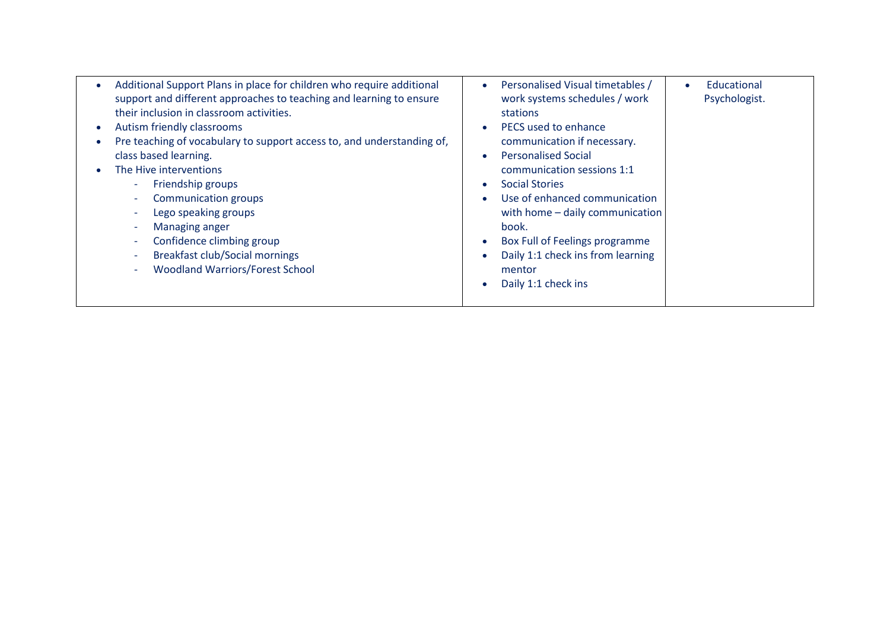| Additional Support Plans in place for children who require additional<br>$\bullet$<br>support and different approaches to teaching and learning to ensure<br>their inclusion in classroom activities.<br>Autism friendly classrooms<br>$\bullet$<br>Pre teaching of vocabulary to support access to, and understanding of,<br>$\bullet$<br>class based learning.<br>The Hive interventions<br>Friendship groups<br>$\overline{\phantom{a}}$<br><b>Communication groups</b><br>$\sim$<br>Lego speaking groups<br>$\overline{\phantom{a}}$<br>Managing anger<br>$\overline{\phantom{a}}$<br>Confidence climbing group<br>$\overline{\phantom{a}}$<br><b>Breakfast club/Social mornings</b><br>$\sim$<br><b>Woodland Warriors/Forest School</b><br>$\overline{\phantom{a}}$ | Personalised Visual timetables /<br>Educational<br>$\bullet$<br>work systems schedules / work<br>Psychologist.<br>stations<br>PECS used to enhance<br>communication if necessary.<br><b>Personalised Social</b><br>communication sessions 1:1<br><b>Social Stories</b><br>Use of enhanced communication<br>with home - daily communication<br>book.<br>Box Full of Feelings programme<br>Daily 1:1 check ins from learning<br>mentor<br>Daily 1:1 check ins |
|--------------------------------------------------------------------------------------------------------------------------------------------------------------------------------------------------------------------------------------------------------------------------------------------------------------------------------------------------------------------------------------------------------------------------------------------------------------------------------------------------------------------------------------------------------------------------------------------------------------------------------------------------------------------------------------------------------------------------------------------------------------------------|-------------------------------------------------------------------------------------------------------------------------------------------------------------------------------------------------------------------------------------------------------------------------------------------------------------------------------------------------------------------------------------------------------------------------------------------------------------|
|--------------------------------------------------------------------------------------------------------------------------------------------------------------------------------------------------------------------------------------------------------------------------------------------------------------------------------------------------------------------------------------------------------------------------------------------------------------------------------------------------------------------------------------------------------------------------------------------------------------------------------------------------------------------------------------------------------------------------------------------------------------------------|-------------------------------------------------------------------------------------------------------------------------------------------------------------------------------------------------------------------------------------------------------------------------------------------------------------------------------------------------------------------------------------------------------------------------------------------------------------|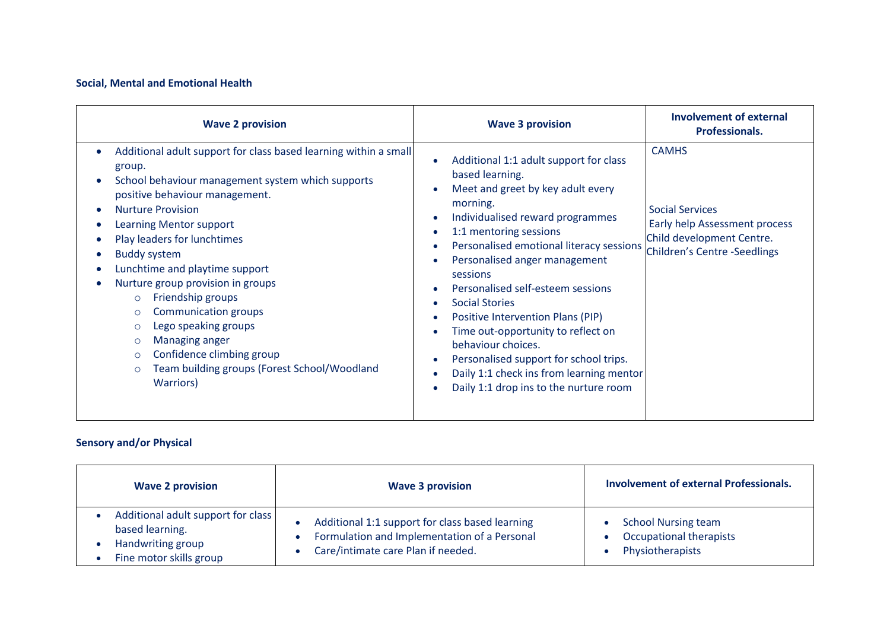#### **Social, Mental and Emotional Health**

| <b>Wave 2 provision</b>                                                                                                                                                                                                                                                                                                                                                                                                                                                                                                                                                                                         | <b>Wave 3 provision</b>                                                                                                                                                                                                                                                                                                                                                                                                                                                                                                                                          | <b>Involvement of external</b><br>Professionals.                                                                                     |
|-----------------------------------------------------------------------------------------------------------------------------------------------------------------------------------------------------------------------------------------------------------------------------------------------------------------------------------------------------------------------------------------------------------------------------------------------------------------------------------------------------------------------------------------------------------------------------------------------------------------|------------------------------------------------------------------------------------------------------------------------------------------------------------------------------------------------------------------------------------------------------------------------------------------------------------------------------------------------------------------------------------------------------------------------------------------------------------------------------------------------------------------------------------------------------------------|--------------------------------------------------------------------------------------------------------------------------------------|
| Additional adult support for class based learning within a small<br>group.<br>School behaviour management system which supports<br>positive behaviour management.<br><b>Nurture Provision</b><br>Learning Mentor support<br>Play leaders for lunchtimes<br><b>Buddy system</b><br>Lunchtime and playtime support<br>Nurture group provision in groups<br>Friendship groups<br>$\circ$<br><b>Communication groups</b><br>$\circ$<br>Lego speaking groups<br>$\circ$<br>Managing anger<br>$\circ$<br>Confidence climbing group<br>$\circ$<br>Team building groups (Forest School/Woodland<br>$\circ$<br>Warriors) | Additional 1:1 adult support for class<br>based learning.<br>Meet and greet by key adult every<br>morning.<br>Individualised reward programmes<br>1:1 mentoring sessions<br>Personalised emotional literacy sessions<br>Personalised anger management<br>sessions<br>Personalised self-esteem sessions<br><b>Social Stories</b><br>Positive Intervention Plans (PIP)<br>Time out-opportunity to reflect on<br>behaviour choices.<br>Personalised support for school trips.<br>Daily 1:1 check ins from learning mentor<br>Daily 1:1 drop ins to the nurture room | <b>CAMHS</b><br><b>Social Services</b><br>Early help Assessment process<br>Child development Centre.<br>Children's Centre -Seedlings |

## **Sensory and/or Physical**

| <b>Wave 2 provision</b>                                                                               | <b>Wave 3 provision</b>                                                                                                               | <b>Involvement of external Professionals.</b>                             |
|-------------------------------------------------------------------------------------------------------|---------------------------------------------------------------------------------------------------------------------------------------|---------------------------------------------------------------------------|
| Additional adult support for class<br>based learning.<br>Handwriting group<br>Fine motor skills group | Additional 1:1 support for class based learning<br>Formulation and Implementation of a Personal<br>Care/intimate care Plan if needed. | <b>School Nursing team</b><br>Occupational therapists<br>Physiotherapists |